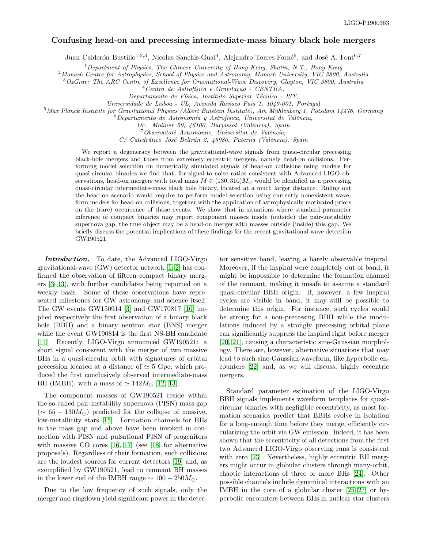## Confusing head-on and precessing intermediate-mass binary black hole mergers

Juan Calderón Bustillo<sup>1,2,3</sup>, Nicolas Sanchis-Gual<sup>4</sup>, Alejandro Torres-Forné<sup>5</sup>, and José A. Font<sup>6,7</sup>

 $1$  Department of Physics, The Chinese University of Hong Kong, Shatin, N.T., Hong Kong

<sup>2</sup>Monash Centre for Astrophysics, School of Physics and Astronomy, Monash University, VIC 3800, Australia

<sup>3</sup>OzGrav: The ARC Centre of Excellence for Gravitational-Wave Discovery, Clayton, VIC 3800, Australia

 $^4$ Centro de Astrofísica e Gravitação - CENTRA,

Departamento de Física, Instituto Superior Técnico - IST,

Universidade de Lisboa - UL, Avenida Rovisco Pais 1, 1049-001, Portugal

 $5$ Max Planck Institute for Gravitational Physics (Albert Einstein Institute), Am Mühlenberg 1, Potsdam 14476, Germany

 $6$ Departamento de Astronomía y Astrofísica, Universitat de València,

Dr. Moliner 50, 46100, Burjassot (València), Spain

 $^7$ Observatori Astronòmic, Universitat de València,

C/ Catedrático José Beltrán 2, 46980, Paterna (València), Spain

We report a degeneracy between the gravitational-wave signals from quasi-circular precessing black-hole mergers and those from extremely eccentric mergers, namely head-on collisions. Performing model selection on numerically simulated signals of head-on collisions using models for quasi-circular binaries we find that, for signal-to-noise ratios consistent with Advanced LIGO observations, head-on mergers with total mass  $M \in (130, 310)M_{\odot}$  would be identified as a precessing quasi-circular intermediate-mass black hole binary, located at a much larger distance. Ruling out the head-on scenario would require to perform model selection using currently nonexistent waveform models for head-on collisions, together with the application of astrophysically motivated priors on the (rare) occurrence of those events. We show that in situations where standard parameter inference of compact binaries may report component masses inside (outside) the pair-instability supernova gap, the true object may be a head-on merger with masses outside (inside) this gap. We briefly discuss the potential implications of these findings for the recent gravitational-wave detection GW190521.

Introduction. To date, the Advanced LIGO-Virgo gravitational-wave (GW) detector network [\[1,](#page-6-0) [2\]](#page-6-1) has confirmed the observation of fifteen compact binary mergers [\[3](#page-6-2)[–13\]](#page-6-3), with further candidates being reported on a weekly basis. Some of these observations have represented milestones for GW astronomy and science itself. The GW events GW150914 [\[3\]](#page-6-2) and GW170817 [\[10\]](#page-6-4) implied respectively the first observation of a binary black hole (BBH) and a binary neutron star (BNS) merger while the event GW190814 is the first NS-BH candidate [\[14\]](#page-6-5). Recently, LIGO-Virgo announced GW190521: a short signal consistent with the merger of two massive BHs in a quasi-circular orbit with signatures of orbital precession located at a distance of  $\simeq$  5 Gpc; which produced the first conclusively observed intermediate-mass BH (IMBH), with a mass of  $\simeq 142 M_{\odot}$  [\[12,](#page-6-6) [13\]](#page-6-3).

The component masses of GW190521 reside within the so-called pair-instability supernova (PISN) mass gap  $(\sim 65 - 130 M_{\odot})$  predicted for the collapse of massive, low-metallicity stars [\[15\]](#page-6-7). Formation channels for BHs in the mass gap and above have been invoked in connection with PISN and pulsational PISN of progenitors with massive CO cores [\[16,](#page-6-8) [17\]](#page-6-9) (see [\[18\]](#page-6-10) for alternative proposals). Regardless of their formation, such collisions are the loudest sources for current detectors [\[19\]](#page-6-11) and, as exemplified by GW190521, lead to remnant BH masses in the lower end of the IMBH range  $\sim 100-250 M_{\odot}$ .

Due to the low frequency of such signals, only the merger and ringdown yield significant power in the detec-

tor sensitive band, leaving a barely observable inspiral. Moreover, if the inspiral were completely out of band, it might be impossible to determine the formation channel of the remnant, making it unsafe to assume a standard quasi-circular BBH origin. If, however, a few inspiral cycles are visible in band, it may still be possible to determine this origin. For instance, such cycles would be strong for a non-precessing BBH while the modulations induced by a strongly precessing orbital plane can significantly suppress the inspiral right before merger [\[20,](#page-6-12) [21\]](#page-6-13), causing a characteristic sine-Gaussian morphology. There are, however, alternative situations that may lead to such sine-Gaussian waveform, like hyperbolic encounters [\[22\]](#page-6-14) and, as we will discuss, highly eccentric mergers.

Standard parameter estimation of the LIGO-Virgo BBH signals implements waveform templates for quasicircular binaries with negligible eccentricity, as most formation scenarios predict that BBHs evolve in isolation for a long-enough time before they merge, efficiently circularizing the orbit via GW emission. Indeed, it has been shown that the eccentricity of all detections from the first two Advanced LIGO-Virgo observing runs is consistent with zero [\[23\]](#page-6-15). Nevertheless, highly eccentric BH mergers might occur in globular clusters through many-orbit, chaotic interactions of three or more BHs [\[24\]](#page-6-16). Other possible channels include dynamical interactions with an IMBH in the core of a globular cluster [\[25](#page-6-17)[–27\]](#page-6-18) or hyperbolic encounters between BHs in nuclear star clusters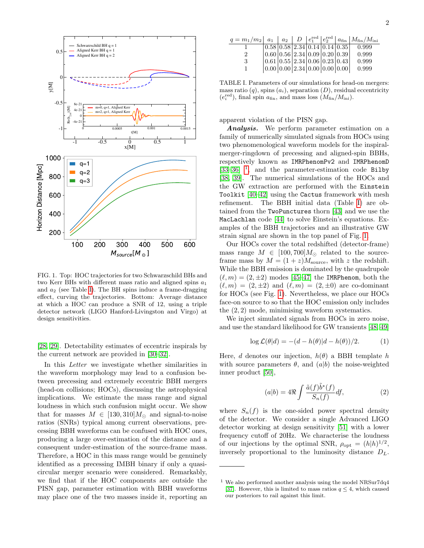

<span id="page-1-2"></span>FIG. 1. Top: HOC trajectories for two Schwarzschild BHs and two Kerr BHs with different mass ratio and aligned spins  $a_1$ and  $a_2$  (see Table [I\)](#page-1-0). The BH spins induce a frame-dragging effect, curving the trajectories. Bottom: Average distance at which a HOC can produce a SNR of 12, using a triple detector network (LIGO Hanford-Livingston and Virgo) at design sensitivities.

[\[28,](#page-6-19) [29\]](#page-6-20). Detectability estimates of eccentric inspirals by the current network are provided in [\[30–](#page-6-21)[32\]](#page-6-22).

In this Letter we investigate whether similarities in the waveform morphology may lead to a confusion between precessing and extremely eccentric BBH mergers (head-on collisions; HOCs), discussing the astrophysical implications. We estimate the mass range and signal loudness in which such confusion might occur. We show that for masses  $M \in [130, 310]M_{\odot}$  and signal-to-noise ratios (SNRs) typical among current observations, precessing BBH waveforms can be confused with HOC ones, producing a large over-estimation of the distance and a consequent under-estimation of the source-frame mass. Therefore, a HOC in this mass range would be genuinely identified as a precessing IMBH binary if only a quasicircular merger scenario were considered. Remarkably, we find that if the HOC components are outside the PISN gap, parameter estimation with BBH waveforms may place one of the two masses inside it, reporting an

| $q = m_1/m_2 \vert a_1 \vert a_2 \vert D \vert e_1^{\text{red}} \vert e_2^{\text{red}} \vert a_{\text{fin}} \vert M_{\text{fin}}/M_{\text{ini}}$ |  |                                                                                      |  |       |
|--------------------------------------------------------------------------------------------------------------------------------------------------|--|--------------------------------------------------------------------------------------|--|-------|
|                                                                                                                                                  |  | $\left 0.58\right 0.58\left 2.34\right 0.14\left 0.14\right 0.35$                    |  | 0.999 |
| $\overline{2}$                                                                                                                                   |  | $\left  0.60 \right  0.56 \left  2.34 \right  0.09 \left  0.20 \right  0.39 \right $ |  | 0.999 |
| -3                                                                                                                                               |  | $\left  0.61 \right  0.55 \left  2.34 \right  0.06 \left  0.23 \right  0.43 \right $ |  | 0.999 |
|                                                                                                                                                  |  | $[0.00 \, 0.00 \, 2.34 \, 0.00 \, 0.00 \, 0.00]$                                     |  | 0.999 |
|                                                                                                                                                  |  |                                                                                      |  |       |

<span id="page-1-0"></span>TABLE I. Parameters of our simulations for head-on mergers: mass ratio  $(q)$ , spins  $(a_i)$ , separation  $(D)$ , residual eccentricity  $(e_i^{\text{red}})$ , final spin  $a_{\text{fin}}$ , and mass loss  $(M_{\text{fin}}/M_{\text{ini}})$ .

apparent violation of the PISN gap.

Analysis. We perform parameter estimation on a family of numerically simulated signals from HOCs using two phenomenological waveform models for the inspiralmerger-ringdown of precessing and aligned-spin BBHs, respectively known as IMRPhenomPv2 and IMRPhenomD  $[33-36]$  $[33-36]$ <sup>[1](#page-1-1)</sup>, and the parameter-estimation code Bilby [\[38,](#page-6-25) [39\]](#page-6-26). The numerical simulations of the HOCs and the GW extraction are performed with the Einstein Toolkit [\[40–](#page-6-27)[42\]](#page-6-28) using the Cactus framework with mesh refinement. The BBH initial data (Table [I\)](#page-1-0) are obtained from the TwoPunctures thorn [\[43\]](#page-6-29) and we use the MacLachlan code [\[44\]](#page-6-30) to solve Einstein's equations. Examples of the BBH trajectories and an illustrative GW strain signal are shown in the top panel of Fig. [1.](#page-1-2)

Our HOCs cover the total redshifted (detector-frame) mass range  $M \in [100, 700] M_{\odot}$  related to the sourceframe mass by  $M = (1 + z)M_{\text{source}}$ , with z the redshift. While the BBH emission is dominated by the quadrupole  $(\ell, m) = (2, \pm 2)$  modes [\[45–](#page-7-0)[47\]](#page-7-1) the IMRPhenom, both the  $(\ell, m) = (2, \pm 2)$  and  $(\ell, m) = (2, \pm 0)$  are co-dominant for HOCs (see Fig. [1\)](#page-1-2). Nevertheless, we place our HOCs face-on source to so that the HOC emission only includes the (2, 2) mode, minimising waveform systematics.

We inject simulated signals from HOCs in zero noise, and use the standard likelihood for GW transients [\[48,](#page-7-2) [49\]](#page-7-3)

$$
\log \mathcal{L}(\theta|d) = -(d - h(\theta)|d - h(\theta))/2.
$$
 (1)

Here, d denotes our injection,  $h(\theta)$  a BBH template h with source parameters  $\theta$ , and  $(a|b)$  the noise-weighted inner product [\[50\]](#page-7-4),

$$
(a|b) = 4\Re \int \frac{\tilde{a}(f)\tilde{b}^*(f)}{S_n(f)} df,
$$
\n(2)

where  $S_n(f)$  is the one-sided power spectral density of the detector. We consider a single Advanced LIGO detector working at design sensitivity [\[51\]](#page-7-5) with a lower frequency cutoff of 20Hz. We characterise the loudness of our injections by the optimal SNR,  $\rho_{\text{opt}} = (h|h)^{1/2}$ , inversely proportional to the luminosity distance  $D_L$ .

<span id="page-1-1"></span><sup>1</sup> We also performed another analysis using the model NRSur7dq4 [\[37\]](#page-6-31). However, this is limited to mass ratios  $q \leq 4$ , which caused our posteriors to rail against this limit.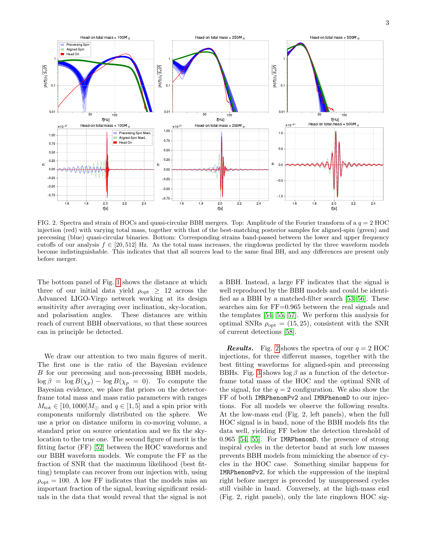

<span id="page-2-0"></span>FIG. 2. Spectra and strain of HOCs and quasi-circular BBH mergers. Top: Amplitude of the Fourier transform of a  $q = 2$  HOC injection (red) with varying total mass, together with that of the best-matching posterior samples for aligned-spin (green) and precessing (blue) quasi-circular binaries. Bottom: Corresponding strains band-passed between the lower and upper frequency cutoffs of our analysis  $f \in [20, 512]$  Hz. As the total mass increases, the ringdowns predicted by the three waveform models become indistinguishable. This indicates that that all sources lead to the same final BH, and any differences are present only before merger.

The bottom panel of Fig. [1](#page-1-2) shows the distance at which three of our initial data yield  $\rho_{opt} \geq 12$  across the Advanced LIGO-Virgo network working at its design sensitivity after averaging over inclination, sky-location, and polarisation angles. These distances are within reach of current BBH observations, so that these sources can in principle be detected.

We draw our attention to two main figures of merit. The first one is the ratio of the Bayesian evidence B for our precessing and non-precessing BBH models,  $\log \beta = \log B(\chi_p) - \log B(\chi_p = 0)$ . To compute the Bayesian evidence, we place flat priors on the detectorframe total mass and mass ratio parameters with ranges  $M_{\text{tot}} \in [10, 1000] M_{\odot}$  and  $q \in [1, 5]$  and a spin prior with components uniformly distributed on the sphere. We use a prior on distance uniform in co-moving volume, a standard prior on source orientation and we fix the skylocation to the true one. The second figure of merit is the fitting factor (FF) [\[52\]](#page-7-6) between the HOC waveforms and our BBH waveform models. We compute the FF as the fraction of SNR that the maximum likelihood (best fitting) template can recover from our injection with, using  $\rho_{\text{opt}} = 100$ . A low FF indicates that the models miss an important fraction of the signal, leaving significant residuals in the data that would reveal that the signal is not

a BBH. Instead, a large FF indicates that the signal is well reproduced by the BBH models and could be identified as a BBH by a matched-filter search [\[53](#page-7-7)[–56\]](#page-7-8). These searches aim for FF=0.965 between the real signals and the templates [\[54,](#page-7-9) [55,](#page-7-10) [57\]](#page-7-11). We perform this analysis for optimal SNRs  $\rho_{opt} = (15, 25)$ , consistent with the SNR of current detections [\[58\]](#page-7-12).

**Results.** Fig. [2](#page-2-0) shows the spectra of our  $q = 2$  HOC injections, for three different masses, together with the best fitting waveforms for aligned-spin and precessing BBHs. Fig. [3](#page-3-0) shows  $\log \beta$  as a function of the detectorframe total mass of the HOC and the optimal SNR of the signal, for the  $q = 2$  configuration. We also show the FF of both IMRPhenomPv2 and IMRPhenomD to our injections. For all models we observe the following results. At the low-mass end (Fig. 2, left panels), when the full HOC signal is in band, none of the BBH models fits the data well, yielding FF below the detection threshold of 0.965 [\[54,](#page-7-9) [55\]](#page-7-10). For IMRPhenomD, the presence of strong inspiral cycles in the detector band at such low masses prevents BBH models from mimicking the absence of cycles in the HOC case. Something similar happens for IMRPhenomPv2, for which the suppression of the inspiral right before merger is preceded by unsuppressed cycles still visible in band. Conversely, at the high-mass end (Fig. 2, right panels), only the late ringdown HOC sig-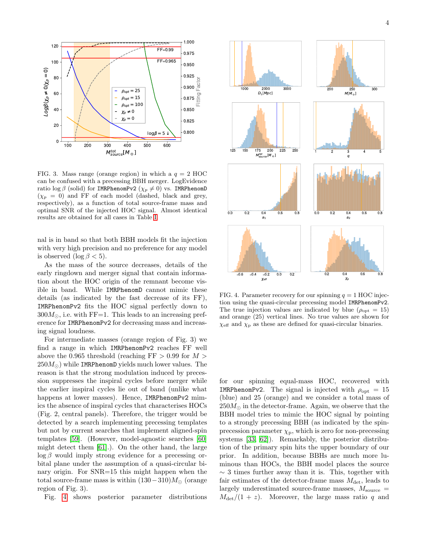

<span id="page-3-0"></span>FIG. 3. Mass range (orange region) in which a  $q = 2$  HOC can be confused with a precessing BBH merger. LogEvidence ratio log  $\beta$  (solid) for IMRPhenomPv2 ( $\chi_p \neq 0$ ) vs. IMRPhenomD  $(\chi_p = 0)$  and FF of each model (dashed, black and grey, respectively), as a function of total source-frame mass and optimal SNR of the injected HOC signal. Almost identical results are obtained for all cases in Table [I.](#page-1-0)

nal is in band so that both BBH models fit the injection with very high precision and no preference for any model is observed (log  $\beta$  < 5).

As the mass of the source decreases, details of the early ringdown and merger signal that contain information about the HOC origin of the remnant become visible in band. While IMRPhenomD cannot mimic these details (as indicated by the fast decrease of its FF), IMRPhenomPv2 fits the HOC signal perfectly down to  $300M_{\odot}$ , i.e. with FF=1. This leads to an increasing preference for IMRPhenomPv2 for decreasing mass and increasing signal loudness.

For intermediate masses (orange region of Fig. 3) we find a range in which IMRPhenomPv2 reaches FF well above the 0.965 threshold (reaching  $FF > 0.99$  for  $M >$  $250M_{\odot}$ ) while IMRPhenomD yields much lower values. The reason is that the strong modulation induced by precession suppresses the inspiral cycles before merger while the earlier inspiral cycles lie out of band (unlike what happens at lower masses). Hence, IMRPhenomPv2 mimics the absence of inspiral cycles that characterises HOCs (Fig. 2, central panels). Therefore, the trigger would be detected by a search implementing precessing templates but not by current searches that implement aligned-spin templates [\[59\]](#page-7-13). (However, model-agnostic searches [\[60\]](#page-7-14) might detect them [\[61\]](#page-7-15).). On the other hand, the large  $\log \beta$  would imply strong evidence for a precessing orbital plane under the assumption of a quasi-circular binary origin. For SNR=15 this might happen when the total source-frame mass is within  $(130-310)M_{\odot}$  (orange region of Fig. 3).

Fig. [4](#page-3-1) shows posterior parameter distributions



<span id="page-3-1"></span>FIG. 4. Parameter recovery for our spinning  $q = 1$  HOC injection using the quasi-circular precessing model IMRPhenomPv2. The true injection values are indicated by blue ( $\rho_{\text{opt}} = 15$ ) and orange (25) vertical lines. No true values are shown for  $\chi_{\text{eff}}$  and  $\chi_{\text{p}}$  as these are defined for quasi-circular binaries.

for our spinning equal-mass HOC, recovered with IMRPhenomPv2. The signal is injected with  $\rho_{\text{opt}} = 15$ (blue) and 25 (orange) and we consider a total mass of  $250M_{\odot}$  in the detector-frame. Again, we observe that the BBH model tries to mimic the HOC signal by pointing to a strongly precessing BBH (as indicated by the spinprecession parameter  $\chi_{\rm p}$ , which is zero for non-precessing systems [\[33,](#page-6-23) [62\]](#page-7-16)). Remarkably, the posterior distribution of the primary spin hits the upper boundary of our prior. In addition, because BBHs are much more luminous than HOCs, the BBH model places the source  $\sim$  3 times further away than it is. This, together with fair estimates of the detector-frame mass  $M_{\text{det}}$ , leads to largely underestimated source-frame masses,  $M_{\rm source}$  =  $M_{\text{det}}/(1 + z)$ . Moreover, the large mass ratio q and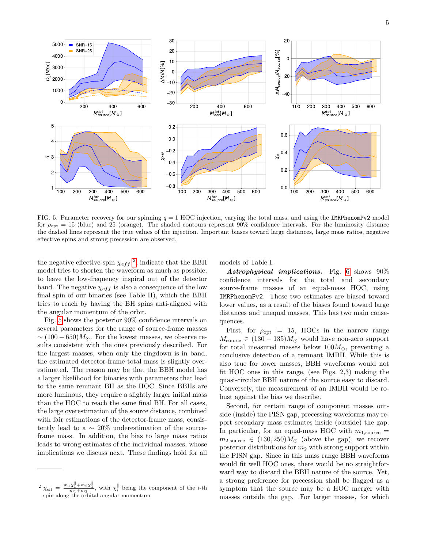

<span id="page-4-1"></span>FIG. 5. Parameter recovery for our spinning  $q = 1$  HOC injection, varying the total mass, and using the IMRPhenomPv2 model for  $\rho_{\text{opt}} = 15$  (blue) and 25 (orange). The shaded contours represent 90% confidence intervals. For the luminosity distance the dashed lines represent the true values of the injection. Important biases toward large distances, large mass ratios, negative effective spins and strong precession are observed.

the negative effective-spin  $\chi_{eff}^{2}$  $\chi_{eff}^{2}$  $\chi_{eff}^{2}$ , indicate that the BBH model tries to shorten the waveform as much as possible, to leave the low-frequency inspiral out of the detector band. The negative  $\chi_{eff}$  is also a consequence of the low final spin of our binaries (see Table II), which the BBH tries to reach by having the BH spins anti-aligned with the angular momentum of the orbit.

Fig. [5](#page-4-1) shows the posterior 90% confidence intervals on several parameters for the range of source-frame masses  $\sim (100 - 650) M_{\odot}$ . For the lowest masses, we observe results consistent with the ones previously described. For the largest masses, when only the ringdown is in band, the estimated detector-frame total mass is slightly overestimated. The reason may be that the BBH model has a larger likelihood for binaries with parameters that lead to the same remnant BH as the HOC. Since BBHs are more luminous, they require a slightly larger initial mass than the HOC to reach the same final BH. For all cases, the large overestimation of the source distance, combined with fair estimations of the detector-frame mass, consistently lead to a  $\sim 20\%$  underestimation of the sourceframe mass. In addition, the bias to large mass ratios leads to wrong estimates of the individual masses, whose implications we discuss next. These findings hold for all models of Table I.

Astrophysical implications. Fig. [6](#page-5-0) shows 90% confidence intervals for the total and secondary source-frame masses of an equal-mass HOC, using IMRPhenomPv2. These two estimates are biased toward lower values, as a result of the biases found toward large distances and unequal masses. This has two main consequences.

First, for  $\rho_{\text{opt}} = 15$ , HOCs in the narrow range  $M_{\text{source}} \in (130 - 135)M_{\odot}$  would have non-zero support for total measured masses below  $100M_{\odot}$ , preventing a conclusive detection of a remnant IMBH. While this is also true for lower masses, BBH waveforms would not fit HOC ones in this range, (see Figs. 2,3) making the quasi-circular BBH nature of the source easy to discard. Conversely, the measurement of an IMBH would be robust against the bias we describe.

Second, for certain range of component masses outside (inside) the PISN gap, precessing waveforms may report secondary mass estimates inside (outside) the gap. In particular, for an equal-mass HOC with  $m_{1,\text{source}} =$  $m_{2,\text{source}} \in (130, 250)M_{\odot}$  (above the gap), we recover posterior distributions for  $m_2$  with strong support within the PISN gap. Since in this mass range BBH waveforms would fit well HOC ones, there would be no straightforward way to discard the BBH nature of the source. Yet, a strong preference for precession shall be flagged as a symptom that the source may be a HOC merger with masses outside the gap. For larger masses, for which

<span id="page-4-0"></span> $\alpha^2 \chi_{\text{eff}} = \frac{m_1 \chi_1^{\parallel} + m_2 \chi_1^{\parallel}}{m_1 + m_2}$ , with  $\chi_i^{\parallel}$  being the component of the *i*-th spin along the orbital angular momentum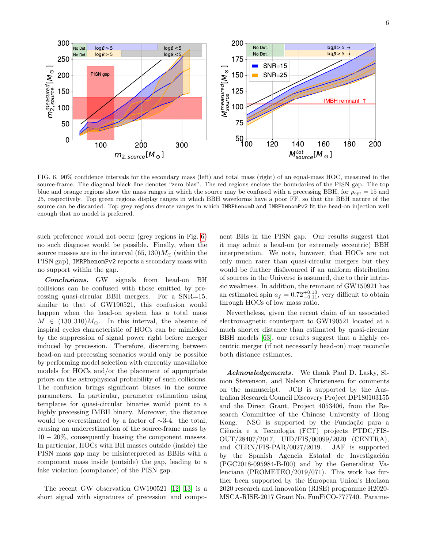

<span id="page-5-0"></span>FIG. 6. 90% confidence intervals for the secondary mass (left) and total mass (right) of an equal-mass HOC, measured in the source-frame. The diagonal black line denotes "zero bias". The red regions enclose the boundaries of the PISN gap. The top blue and orange regions show the mass ranges in which the source may be confused with a precessing BBH, for  $\rho_{\text{opt}} = 15$  and 25, respectively. Top green regions display ranges in which BBH waveforms have a poor FF, so that the BBH nature of the source can be discarded. Top grey regions denote ranges in which IMRPhenomD and IMRPhenomPv2 fit the head-on injection well enough that no model is preferred.

such preference would not occur (grey regions in Fig. [6\)](#page-5-0) no such diagnose would be possible. Finally, when the source masses are in the interval  $(65, 130)M_{\odot}$  (within the PISN gap), IMRPhenomPv2 reports a secondary mass with no support within the gap.

Conclusions. GW signals from head-on BH collisions can be confused with those emitted by precessing quasi-circular BBH mergers. For a SNR=15, similar to that of GW190521, this confusion would happen when the head-on system has a total mass  $M \in (130, 310)M_{\odot}$ . In this interval, the absence of inspiral cycles characteristic of HOCs can be mimicked by the suppression of signal power right before merger induced by precession. Therefore, discerning between head-on and precessing scenarios would only be possible by performing model selection with currently unavailable models for HOCs and/or the placement of appropriate priors on the astrophysical probability of such collisions. The confusion brings significant biases in the source parameters. In particular, parameter estimation using templates for quasi-circular binaries would point to a highly precessing IMBH binary. Moreover, the distance would be overestimated by a factor of ∼3-4. the total, causing an underestimation of the source-frame mass by  $10 - 20\%$ , consequently biasing the component masses. In particular, HOCs with BH masses outside (inside) the PISN mass gap may be misinterpreted as BBHs with a component mass inside (outside) the gap, leading to a fake violation (compliance) of the PISN gap.

The recent GW observation GW190521 [\[12,](#page-6-6) [13\]](#page-6-3) is a short signal with signatures of precession and component BHs in the PISN gap. Our results suggest that it may admit a head-on (or extremely eccentric) BBH interpretation. We note, however, that HOCs are not only much rarer than quasi-circular mergers but they would be further disfavoured if an uniform distribution of sources in the Universe is assumed, due to their intrinsic weakness. In addition, the remnant of GW150921 has an estimated spin  $a_f = 0.72^{+0.10}_{-0.11}$ , very difficult to obtain through HOCs of low mass ratio.

Nevertheless, given the recent claim of an associated electromagnetic counterpart to GW190521 located at a much shorter distance than estimated by quasi-circular BBH models [\[63\]](#page-7-17), our results suggest that a highly eccentric merger (if not necessarily head-on) may reconcile both distance estimates.

Acknowledgements. We thank Paul D. Lasky, Simon Stevenson, and Nelson Christensen for comments on the manuscript. JCB is supported by the Australian Research Council Discovery Project DP180103155 and the Direct Grant, Project 4053406, from the Research Committee of the Chinese University of Hong Kong. NSG is supported by the Fundação para a Ciência e a Tecnologia (FCT) projects PTDC/FIS-OUT/28407/2017, UID/FIS/00099/2020 (CENTRA), and CERN/FIS-PAR/0027/2019. JAF is supported by the Spanish Agencia Estatal de Investigación (PGC2018-095984-B-I00) and by the Generalitat Valenciana (PROMETEO/2019/071). This work has further been supported by the European Union's Horizon 2020 research and innovation (RISE) programme H2020- MSCA-RISE-2017 Grant No. FunFiCO-777740. Parame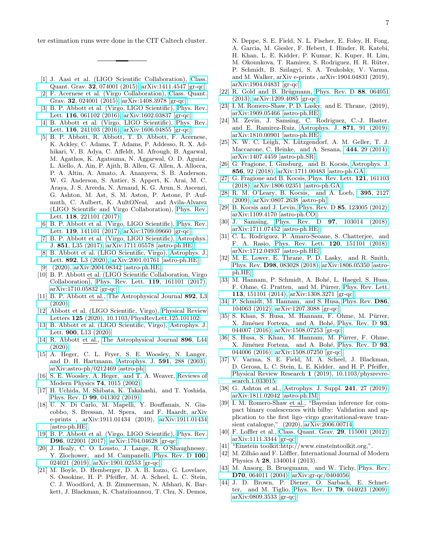ter estimation runs were done in the CIT Caltech cluster.

- <span id="page-6-0"></span>[1] J. Aasi et al. (LIGO Scientific Collaboration), [Class.](http://dx.doi.org/10.1088/0264-9381/32/7/074001) Quant. Grav. 32[, 074001 \(2015\),](http://dx.doi.org/10.1088/0264-9381/32/7/074001) [arXiv:1411.4547 \[gr-qc\].](http://arxiv.org/abs/1411.4547)
- <span id="page-6-1"></span>[2] F. Acernese et al. (Virgo Collaboration), [Class. Quant.](http://dx.doi.org/10.1088/0264-9381/32/2/024001) Grav. 32[, 024001 \(2015\),](http://dx.doi.org/10.1088/0264-9381/32/2/024001) [arXiv:1408.3978 \[gr-qc\].](http://arxiv.org/abs/1408.3978)
- <span id="page-6-2"></span>[3] B. P. Abbott et al. (Virgo, LIGO Scientific), [Phys. Rev.](http://dx.doi.org/10.1103/PhysRevLett.116.061102) Lett. 116[, 061102 \(2016\),](http://dx.doi.org/10.1103/PhysRevLett.116.061102) [arXiv:1602.03837 \[gr-qc\].](http://arxiv.org/abs/1602.03837)
- [4] B. Abbott et al. (Virgo, LIGO Scientific), [Phys. Rev.](http://dx.doi.org/10.1103/PhysRevLett.116.241103) Lett. 116[, 241103 \(2016\),](http://dx.doi.org/10.1103/PhysRevLett.116.241103) [arXiv:1606.04855 \[gr-qc\].](http://arxiv.org/abs/1606.04855)
- [5] B. P. Abbott, R. Abbott, T. D. Abbott, F. Acernese, K. Ackley, C. Adams, T. Adams, P. Addesso, R. X. Adhikari, V. B. Adya, C. Affeldt, M. Afrough, B. Agarwal, M. Agathos, K. Agatsuma, N. Aggarwal, O. D. Aguiar, L. Aiello, A. Ain, P. Ajith, B. Allen, G. Allen, A. Allocca, P. A. Altin, A. Amato, A. Ananyeva, S. B. Anderson, W. G. Anderson, S. Antier, S. Appert, K. Arai, M. C. Araya, J. S. Areeda, N. Arnaud, K. G. Arun, S. Ascenzi, G. Ashton, M. Ast, S. M. Aston, P. Astone, P. Aufmuth, C. Aulbert, K. AultONeal, and Avila-Alvarez (LIGO Scientific and Virgo Collaboration), [Phys. Rev.](http://dx.doi.org/ 10.1103/PhysRevLett.118.221101) Lett. 118[, 221101 \(2017\).](http://dx.doi.org/ 10.1103/PhysRevLett.118.221101)
- [6] B. P. Abbott et al. (Virgo, LIGO Scientific), [Phys. Rev.](http://dx.doi.org/10.1103/PhysRevLett.119.141101) Lett. 119[, 141101 \(2017\),](http://dx.doi.org/10.1103/PhysRevLett.119.141101) [arXiv:1709.09660 \[gr-qc\].](http://arxiv.org/abs/1709.09660)
- [7] B. P. Abbott et al. (Virgo, LIGO Scientific), [Astrophys.](http://dx.doi.org/10.3847/2041-8213/aa9f0c) J. 851[, L35 \(2017\),](http://dx.doi.org/10.3847/2041-8213/aa9f0c) [arXiv:1711.05578 \[astro-ph.HE\].](http://arxiv.org/abs/1711.05578)
- [8] B. Abbott et al. (LIGO Scientific, Virgo), [Astrophys. J.](http://dx.doi.org/10.3847/2041-8213/ab75f5) Lett. 892,  $\overline{L3}$  (2020), [arXiv:2001.01761 \[astro-ph.HE\].](http://arxiv.org/abs/2001.01761)
- [9] (2020), [arXiv:2004.08342 \[astro-ph.HE\].](http://arxiv.org/abs/2004.08342)
- <span id="page-6-4"></span>[10] B. P. Abbott et al. (LIGO Scientific Collaboration, Virgo Collaboration), [Phys. Rev. Lett.](http://dx.doi.org/ 10.1103/PhysRevLett.119.161101) 119, 161101 (2017), [arXiv:1710.05832 \[gr-qc\].](http://arxiv.org/abs/1710.05832)
- [11] B. P. Abbott et al., [The Astrophysical Journal](http://dx.doi.org/10.3847/2041-8213/ab75f5) 892, L3 [\(2020\).](http://dx.doi.org/10.3847/2041-8213/ab75f5)
- <span id="page-6-6"></span>[12] Abbott et al. (LIGO Scientific, Virgo), [Physical Review](http://dx.doi.org/ 10.1103/PhysRevLett.125.101102) Letters 125 [\(2020\), 10.1103/PhysRevLett.125.101102.](http://dx.doi.org/ 10.1103/PhysRevLett.125.101102)
- <span id="page-6-3"></span>[13] B. Abbott et al. (LIGO Scientific, Virgo), [Astrophys. J.](http://dx.doi.org/doi.org/10.3847/2041-8213/aba493) Lett. 900[, L13 \(2020\).](http://dx.doi.org/doi.org/10.3847/2041-8213/aba493)
- <span id="page-6-5"></span>[14] R. Abbott et al., [The Astrophysical Journal](http://dx.doi.org/10.3847/2041-8213/ab960f) 896, L44 [\(2020\).](http://dx.doi.org/10.3847/2041-8213/ab960f)
- <span id="page-6-7"></span>[15] A. Heger, C. L. Fryer, S. E. Woosley, N. Langer, and D. H. Hartmann, [Astrophys. J.](http://dx.doi.org/ 10.1086/375341) 591, 288 (2003), [arXiv:astro-ph/0212469 \[astro-ph\].](http://arxiv.org/abs/astro-ph/0212469)
- <span id="page-6-8"></span>[16] S. E. Woosley, A. Heger, and T. A. Weaver, [Reviews of](http://dx.doi.org/10.1103/RevModPhys.74.1015) [Modern Physics](http://dx.doi.org/10.1103/RevModPhys.74.1015) 74, 1015 (2002).
- <span id="page-6-9"></span>[17] H. Uchida, M. Shibata, K. Takahashi, and T. Yoshida, Phys. Rev. D 99[, 041302 \(2019\).](http://dx.doi.org/10.1103/PhysRevD.99.041302)
- <span id="page-6-10"></span>[18] U. N. Di Carlo, M. Mapelli, Y. Bouffanais, N. Giacobbo, S. Bressan, M. Spera, and F. Haardt, arXiv e-prints , arXiv:1911.01434 (2019), [arXiv:1911.01434](http://arxiv.org/abs/1911.01434) [\[astro-ph.HE\].](http://arxiv.org/abs/1911.01434)
- <span id="page-6-11"></span>[19] B. P. Abbott et al. (Virgo, LIGO Scientific), [Phys. Rev.](http://dx.doi.org/10.1103/PhysRevD.96.022001) D96[, 022001 \(2017\),](http://dx.doi.org/10.1103/PhysRevD.96.022001) [arXiv:1704.04628 \[gr-qc\].](http://arxiv.org/abs/1704.04628)
- <span id="page-6-12"></span>[20] J. Healy, C. O. Lousto, J. Lange, R. O'Shaughnessy, Y. Zlochower, and M. Campanelli, [Phys. Rev. D](http://dx.doi.org/10.1103/PhysRevD.100.024021) 100, [024021 \(2019\),](http://dx.doi.org/10.1103/PhysRevD.100.024021) [arXiv:1901.02553 \[gr-qc\].](http://arxiv.org/abs/1901.02553)
- <span id="page-6-13"></span>[21] M. Boyle, D. Hemberger, D. A. B. Iozzo, G. Lovelace, S. Ossokine, H. P. Pfeiffer, M. A. Scheel, L. C. Stein, C. J. Woodford, A. B. Zimmerman, N. Afshari, K. Barkett, J. Blackman, K. Chatziioannou, T. Chu, N. Demos,

N. Deppe, S. E. Field, N. L. Fischer, E. Foley, H. Fong, A. Garcia, M. Giesler, F. Hebert, I. Hinder, R. Katebi, H. Khan, L. E. Kidder, P. Kumar, K. Kuper, H. Lim, M. Okounkova, T. Ramirez, S. Rodriguez, H. R. Rüter, P. Schmidt, B. Szilagyi, S. A. Teukolsky, V. Varma, and M. Walker, arXiv e-prints , arXiv:1904.04831 (2019), [arXiv:1904.04831 \[gr-qc\].](http://arxiv.org/abs/1904.04831)

- <span id="page-6-14"></span>[22] R. Gold and B. Brügmann, [Phys. Rev. D](http://dx.doi.org/10.1103/PhysRevD.88.064051)  $88$ , 064051 [\(2013\),](http://dx.doi.org/10.1103/PhysRevD.88.064051) [arXiv:1209.4085 \[gr-qc\].](http://arxiv.org/abs/1209.4085)
- <span id="page-6-15"></span>[23] I. M. Romero-Shaw, P. D. Lasky, and E. Thrane, (2019), [arXiv:1909.05466 \[astro-ph.HE\].](http://arxiv.org/abs/1909.05466)
- <span id="page-6-16"></span>[24] M. Zevin, J. Samsing, C. Rodriguez, C.-J. Haster, and E. Ramirez-Ruiz, [Astrophys. J.](http://dx.doi.org/10.3847/1538-4357/aaf6ec) 871, 91 (2019), [arXiv:1810.00901 \[astro-ph.HE\].](http://arxiv.org/abs/1810.00901)
- <span id="page-6-17"></span>[25] N. W. C. Leigh, N. Lützgendorf, A. M. Geller, T. J. Maccarone, C. Heinke, and A. Sesana, 444[, 29 \(2014\),](http://dx.doi.org/10.1093/mnras/stu1437) [arXiv:1407.4459 \[astro-ph.SR\].](http://arxiv.org/abs/1407.4459)
- [26] G. Fragione, I. Ginsburg, and B. Kocsis, [Astrophys. J.](http://dx.doi.org/10.3847/1538-4357/aab368) 856[, 92 \(2018\),](http://dx.doi.org/10.3847/1538-4357/aab368) [arXiv:1711.00483 \[astro-ph.GA\].](http://arxiv.org/abs/1711.00483)
- <span id="page-6-18"></span>[27] G. Fragione and B. Kocsis, [Phys. Rev. Lett.](http://dx.doi.org/10.1103/PhysRevLett.121.161103) 121, 161103 [\(2018\),](http://dx.doi.org/10.1103/PhysRevLett.121.161103) [arXiv:1806.02351 \[astro-ph.GA\].](http://arxiv.org/abs/1806.02351)
- <span id="page-6-19"></span>[28] R. M. O'Leary, B. Kocsis, and A. Loeb, 395[, 2127](http://dx.doi.org/10.1111/j.1365-2966.2009.14653.x) [\(2009\),](http://dx.doi.org/10.1111/j.1365-2966.2009.14653.x) [arXiv:0807.2638 \[astro-ph\].](http://arxiv.org/abs/0807.2638)
- <span id="page-6-20"></span>[29] B. Kocsis and J. Levin, Phys. Rev. D **85**[, 123005 \(2012\),](http://dx.doi.org/10.1103/PhysRevD.85.123005) [arXiv:1109.4170 \[astro-ph.CO\].](http://arxiv.org/abs/1109.4170)
- <span id="page-6-21"></span>[30] J. Samsing, Phys. Rev. D **97**[, 103014 \(2018\),](http://dx.doi.org/10.1103/PhysRevD.97.103014) [arXiv:1711.07452 \[astro-ph.HE\].](http://arxiv.org/abs/1711.07452)
- [31] C. L. Rodriguez, P. Amaro-Seoane, S. Chatterjee, and F. A. Rasio, [Phys. Rev. Lett.](http://dx.doi.org/10.1103/PhysRevLett.120.151101) 120, 151101 (2018), [arXiv:1712.04937 \[astro-ph.HE\].](http://arxiv.org/abs/1712.04937)
- <span id="page-6-22"></span>[32] M. E. Lower, E. Thrane, P. D. Lasky, and R. Smith, Phys. Rev. D98[, 083028 \(2018\),](http://dx.doi.org/10.1103/PhysRevD.98.083028) [arXiv:1806.05350 \[astro](http://arxiv.org/abs/1806.05350)[ph.HE\].](http://arxiv.org/abs/1806.05350)
- <span id="page-6-23"></span>[33] M. Hannam, P. Schmidt, A. Bohé, L. Haegel, S. Husa, F. Ohme, G. Pratten, and M. Pürrer, [Phys. Rev. Lett.](http://dx.doi.org/10.1103/PhysRevLett.113.151101) 113[, 151101 \(2014\),](http://dx.doi.org/10.1103/PhysRevLett.113.151101) [arXiv:1308.3271 \[gr-qc\].](http://arxiv.org/abs/1308.3271)
- [34] P. Schmidt, M. Hannam, and S. Husa, [Phys. Rev.](http://dx.doi.org/10.1103/PhysRevD.86.104063) D86, [104063 \(2012\),](http://dx.doi.org/10.1103/PhysRevD.86.104063) [arXiv:1207.3088 \[gr-qc\].](http://arxiv.org/abs/1207.3088)
- [35] S. Khan, S. Husa, M. Hannam, F. Ohme, M. Pürrer, X. Jiménez Forteza, and A. Bohé, [Phys. Rev. D](http://dx.doi.org/ 10.1103/PhysRevD.93.044007) 93, [044007 \(2016\),](http://dx.doi.org/ 10.1103/PhysRevD.93.044007) [arXiv:1508.07253 \[gr-qc\].](http://arxiv.org/abs/1508.07253)
- <span id="page-6-24"></span>[36] S. Husa, S. Khan, M. Hannam, M. Pürrer, F. Ohme, X. Jiménez Forteza, and A. Bohé, [Phys. Rev. D](http://dx.doi.org/ 10.1103/PhysRevD.93.044006) 93, [044006 \(2016\),](http://dx.doi.org/ 10.1103/PhysRevD.93.044006) [arXiv:1508.07250 \[gr-qc\].](http://arxiv.org/abs/1508.07250)
- <span id="page-6-31"></span>[37] V. Varma, S. E. Field, M. A. Scheel, J. Blackman, D. Gerosa, L. C. Stein, L. E. Kidder, and H. P. Pfeiffer, Physical Review Research 1 [\(2019\), 10.1103/physrevre](http://dx.doi.org/10.1103/physrevresearch.1.033015)[search.1.033015.](http://dx.doi.org/10.1103/physrevresearch.1.033015)
- <span id="page-6-25"></span>[38] G. Ashton et al., [Astrophys. J. Suppl.](http://dx.doi.org/10.3847/1538-4365/ab06fc) 241, 27 (2019),  $arXiv:1811.02042$  [astro-ph.IM].
- <span id="page-6-26"></span>[39] I. M. Romero-Shaw et al., "Bayesian inference for compact binary coalescences with bilby: Validation and application to the first ligo–virgo gravitational-wave transient catalogue," (2020), [arXiv:2006.00714.](http://arxiv.org/abs/arXiv:2006.00714)
- <span id="page-6-27"></span>[40] F. Loffler et al., [Class. Quant. Grav.](http://dx.doi.org/10.1088/0264-9381/29/11/115001) **29**, 115001 (2012),  $arXiv:1111.3344$  [gr-qc].
- [41] "Einstein toolkit:http://www.einsteintoolkit.org,".
- <span id="page-6-28"></span>[42] M. Zilhão and F. Löffler, International Journal of Modern Physics A 28, 1340014 (2013).
- <span id="page-6-29"></span>[43] M. Ansorg, B. Bruegmann, and W. Tichy, [Phys. Rev.](http://dx.doi.org/10.1103/PhysRevD.70.064011) D70[, 064011 \(2004\),](http://dx.doi.org/10.1103/PhysRevD.70.064011) [arXiv:gr-qc/0404056.](http://arxiv.org/abs/gr-qc/0404056)
- <span id="page-6-30"></span>[44] J. D. Brown, P. Diener, O. Sarbach, E. Schnetter, and M. Tiglio, Phys. Rev. D 79[, 044023 \(2009\),](http://dx.doi.org/ 10.1103/PhysRevD.79.044023) [arXiv:0809.3533 \[gr-qc\].](http://arxiv.org/abs/arXiv:0809.3533 [gr-qc])